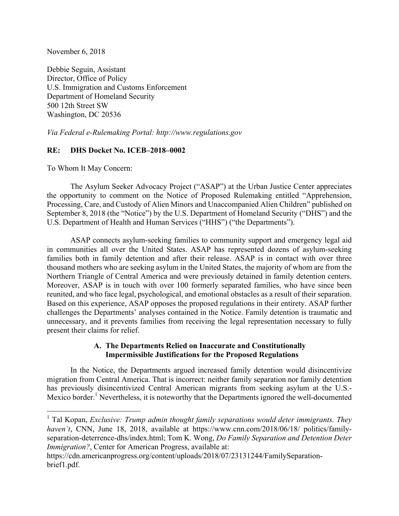November 6, 2018

Debbie Seguin, Assistant Director, Office of Policy U.S. Immigration and Customs Enforcement Department of Homeland Security 500 12th Street SW Washington, DC 20536

*Via Federal e-Rulemaking Portal: http://www.regulations.gov*

### **RE: DHS Docket No. ICEB–2018–0002**

To Whom It May Concern:

The Asylum Seeker Advocacy Project ("ASAP") at the Urban Justice Center appreciates the opportunity to comment on the Notice of Proposed Rulemaking entitled "Apprehension, Processing, Care, and Custody of Alien Minors and Unaccompanied Alien Children" published on September 8, 2018 (the "Notice") by the U.S. Department of Homeland Security ("DHS") and the U.S. Department of Health and Human Services ("HHS") ("the Departments").

ASAP connects asylum-seeking families to community support and emergency legal aid in communities all over the United States. ASAP has represented dozens of asylum-seeking families both in family detention and after their release. ASAP is in contact with over three thousand mothers who are seeking asylum in the United States, the majority of whom are from the Northern Triangle of Central America and were previously detained in family detention centers. Moreover, ASAP is in touch with over 100 formerly separated families, who have since been reunited, and who face legal, psychological, and emotional obstacles as a result of their separation. Based on this experience, ASAP opposes the proposed regulations in their entirety. ASAP further challenges the Departments' analyses contained in the Notice. Family detention is traumatic and unnecessary, and it prevents families from receiving the legal representation necessary to fully present their claims for relief.

### **A. The Departments Relied on Inaccurate and Constitutionally Impermissible Justifications for the Proposed Regulations**

In the Notice, the Departments argued increased family detention would disincentivize migration from Central America. That is incorrect: neither family separation nor family detention has previously disincentivized Central American migrants from seeking asylum at the U.S.- Mexico border.<sup>1</sup> Nevertheless, it is noteworthy that the Departments ignored the well-documented

<sup>&</sup>lt;sup>1</sup> Tal Kopan, *Exclusive: Trump admin thought family separations would deter immigrants. They haven't*, CNN, June 18, 2018, available at https://www.cnn.com/2018/06/18/ politics/familyseparation-deterrence-dhs/index.html; Tom K. Wong, *Do Family Separation and Detention Deter Immigration?*, Center for American Progress, available at:

https://cdn.americanprogress.org/content/uploads/2018/07/23131244/FamilySeparationbrief1.pdf.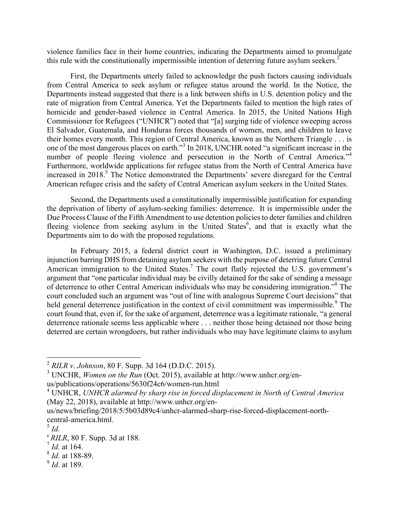violence families face in their home countries, indicating the Departments aimed to promulgate this rule with the constitutionally impermissible intention of deterring future asylum seekers.<sup>2</sup>

First, the Departments utterly failed to acknowledge the push factors causing individuals from Central America to seek asylum or refugee status around the world. In the Notice, the Departments instead suggested that there is a link between shifts in U.S. detention policy and the rate of migration from Central America. Yet the Departments failed to mention the high rates of homicide and gender-based violence in Central America. In 2015, the United Nations High Commissioner for Refugees ("UNHCR") noted that "[a] surging tide of violence sweeping across El Salvador, Guatemala, and Honduras forces thousands of women, men, and children to leave their homes every month. This region of Central America, known as the Northern Triangle . . . is one of the most dangerous places on earth."<sup>3</sup> In 2018, UNCHR noted "a significant increase in the number of people fleeing violence and persecution in the North of Central America."<sup>4</sup> Furthermore, worldwide applications for refugee status from the North of Central America have increased in 2018.<sup>5</sup> The Notice demonstrated the Departments' severe disregard for the Central American refugee crisis and the safety of Central American asylum seekers in the United States.

Second, the Departments used a constitutionally impermissible justification for expanding the deprivation of liberty of asylum-seeking families: deterrence. It is impermissible under the Due Process Clause of the Fifth Amendment to use detention policies to deter families and children fleeing violence from seeking asylum in the United States<sup>6</sup>, and that is exactly what the Departments aim to do with the proposed regulations.

In February 2015, a federal district court in Washington, D.C. issued a preliminary injunction barring DHS from detaining asylum seekers with the purpose of deterring future Central American immigration to the United States.<sup>7</sup> The court flatly rejected the U.S. government's argument that "one particular individual may be civilly detained for the sake of sending a message of deterrence to other Central American individuals who may be considering immigration." <sup>8</sup> The court concluded such an argument was "out of line with analogous Supreme Court decisions" that held general deterrence justification in the context of civil commitment was impermissible.<sup>9</sup> The court found that, even if, for the sake of argument, deterrence was a legitimate rationale, "a general deterrence rationale seems less applicable where . . . neither those being detained nor those being deterred are certain wrongdoers, but rather individuals who may have legitimate claims to asylum

- <sup>7</sup> *Id.* at 164. <sup>8</sup> *Id*. at 188-89.
- <sup>9</sup> *Id*. at 189.

 <sup>2</sup> *RILR v. Johnson*, 80 F. Supp. 3d 164 (D.D.C. 2015).

<sup>3</sup> UNCHR, *Women on the Run* (Oct. 2015), available at http://www.unhcr.org/enus/publications/operations/5630f24c6/women-run.html

<sup>4</sup> UNHCR, *UNHCR alarmed by sharp rise in forced displacement in North of Central America* (May 22, 2018), available at http://www.unhcr.org/en-

us/news/briefing/2018/5/5b03d89c4/unhcr-alarmed-sharp-rise-forced-displacement-northcentral-america.html. 5 *Id.*

<sup>&</sup>lt;sup>6</sup> *RILR*, 80 F. Supp. 3d at 188.<br><sup>7</sup> *Id.* at 164.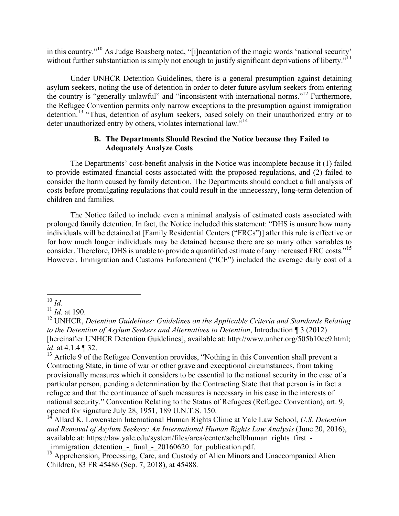in this country."10 As Judge Boasberg noted, "[i]ncantation of the magic words 'national security' without further substantiation is simply not enough to justify significant deprivations of liberty."<sup>11</sup>

Under UNHCR Detention Guidelines, there is a general presumption against detaining asylum seekers, noting the use of detention in order to deter future asylum seekers from entering the country is "generally unlawful" and "inconsistent with international norms."12 Furthermore, the Refugee Convention permits only narrow exceptions to the presumption against immigration detention.<sup>13</sup> "Thus, detention of asylum seekers, based solely on their unauthorized entry or to deter unauthorized entry by others, violates international law."<sup>14</sup>

### **B. The Departments Should Rescind the Notice because they Failed to Adequately Analyze Costs**

The Departments' cost-benefit analysis in the Notice was incomplete because it (1) failed to provide estimated financial costs associated with the proposed regulations, and (2) failed to consider the harm caused by family detention. The Departments should conduct a full analysis of costs before promulgating regulations that could result in the unnecessary, long-term detention of children and families.

The Notice failed to include even a minimal analysis of estimated costs associated with prolonged family detention. In fact, the Notice included this statement: "DHS is unsure how many individuals will be detained at [Family Residential Centers ("FRCs")] after this rule is effective or for how much longer individuals may be detained because there are so many other variables to consider. Therefore, DHS is unable to provide a quantified estimate of any increased FRC costs."<sup>15</sup> However, Immigration and Customs Enforcement ("ICE") included the average daily cost of a

 <sup>10</sup> *Id.*

<sup>11</sup> *Id*. at 190.

<sup>&</sup>lt;sup>12</sup> UNHCR, *Detention Guidelines: Guidelines on the Applicable Criteria and Standards Relating to the Detention of Asylum Seekers and Alternatives to Detention*, Introduction ¶ 3 (2012) [hereinafter UNHCR Detention Guidelines], available at: http://www.unhcr.org/505b10ee9.html; *id*. at 4.1.4 ¶ 32.

<sup>&</sup>lt;sup>13</sup> Article 9 of the Refugee Convention provides, "Nothing in this Convention shall prevent a Contracting State, in time of war or other grave and exceptional circumstances, from taking provisionally measures which it considers to be essential to the national security in the case of a particular person, pending a determination by the Contracting State that that person is in fact a refugee and that the continuance of such measures is necessary in his case in the interests of national security." Convention Relating to the Status of Refugees (Refugee Convention), art. 9, opened for signature July 28, 1951, 189 U.N.T.S. 150.

<sup>14</sup> Allard K. Lowenstein International Human Rights Clinic at Yale Law School, *U.S. Detention and Removal of Asylum Seekers: An International Human Rights Law Analysis* (June 20, 2016), available at: https://law.yale.edu/system/files/area/center/schell/human\_rights\_first\_ immigration detention - final - 20160620 for publication.pdf.

 $\frac{1}{15}$  Apprehension, Processing, Care, and Custody of Alien Minors and Unaccompanied Alien Children, 83 FR 45486 (Sep. 7, 2018), at 45488.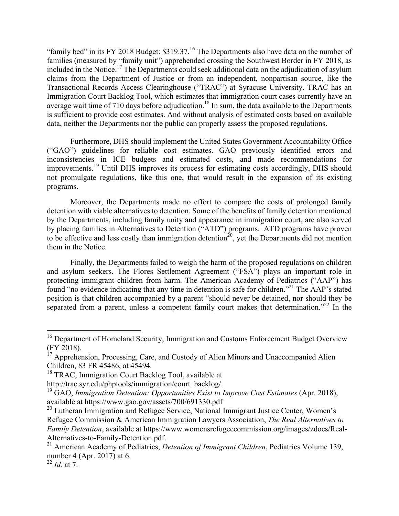"family bed" in its FY 2018 Budget: \$319.37.<sup>16</sup> The Departments also have data on the number of families (measured by "family unit") apprehended crossing the Southwest Border in FY 2018, as included in the Notice.17 The Departments could seek additional data on the adjudication of asylum claims from the Department of Justice or from an independent, nonpartisan source, like the Transactional Records Access Clearinghouse ("TRAC") at Syracuse University. TRAC has an Immigration Court Backlog Tool, which estimates that immigration court cases currently have an average wait time of 710 days before adjudication.<sup>18</sup> In sum, the data available to the Departments is sufficient to provide cost estimates. And without analysis of estimated costs based on available data, neither the Departments nor the public can properly assess the proposed regulations.

Furthermore, DHS should implement the United States Government Accountability Office ("GAO") guidelines for reliable cost estimates. GAO previously identified errors and inconsistencies in ICE budgets and estimated costs, and made recommendations for improvements.<sup>19</sup> Until DHS improves its process for estimating costs accordingly, DHS should not promulgate regulations, like this one, that would result in the expansion of its existing programs.

Moreover, the Departments made no effort to compare the costs of prolonged family detention with viable alternatives to detention. Some of the benefits of family detention mentioned by the Departments, including family unity and appearance in immigration court, are also served by placing families in Alternatives to Detention ("ATD") programs. ATD programs have proven to be effective and less costly than immigration detention<sup>20</sup>, yet the Departments did not mention them in the Notice.

Finally, the Departments failed to weigh the harm of the proposed regulations on children and asylum seekers. The Flores Settlement Agreement ("FSA") plays an important role in protecting immigrant children from harm. The American Academy of Pediatrics ("AAP") has found "no evidence indicating that any time in detention is safe for children."<sup>21</sup> The AAP's stated position is that children accompanied by a parent "should never be detained, nor should they be separated from a parent, unless a competent family court makes that determination."<sup>22</sup> In the

<sup>&</sup>lt;sup>16</sup> Department of Homeland Security, Immigration and Customs Enforcement Budget Overview (FY 2018). <sup>17</sup> Apprehension, Processing, Care, and Custody of Alien Minors and Unaccompanied Alien

Children, 83 FR 45486, at 45494.

<sup>&</sup>lt;sup>18</sup> TRAC, Immigration Court Backlog Tool, available at

http://trac.syr.edu/phptools/immigration/court\_backlog/.

<sup>19</sup> GAO, *Immigration Detention: Opportunities Exist to Improve Cost Estimates* (Apr. 2018), available at https://www.gao.gov/assets/700/691330.pdf

<sup>&</sup>lt;sup>20</sup> Lutheran Immigration and Refugee Service, National Immigrant Justice Center, Women's Refugee Commission & American Immigration Lawyers Association, *The Real Alternatives to Family Detention*, available at https://www.womensrefugeecommission.org/images/zdocs/Real-

Alternatives-to-Family-Detention.pdf. <sup>21</sup> American Academy of Pediatrics, *Detention of Immigrant Children*, Pediatrics Volume 139, number 4 (Apr. 2017) at 6. <sup>22</sup> *Id*. at 7.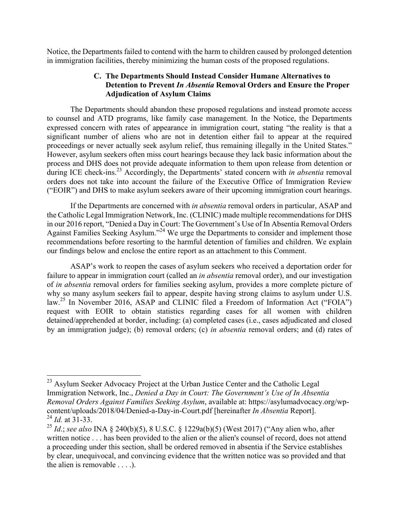Notice, the Departments failed to contend with the harm to children caused by prolonged detention in immigration facilities, thereby minimizing the human costs of the proposed regulations.

### **C. The Departments Should Instead Consider Humane Alternatives to Detention to Prevent** *In Absentia* **Removal Orders and Ensure the Proper Adjudication of Asylum Claims**

The Departments should abandon these proposed regulations and instead promote access to counsel and ATD programs, like family case management. In the Notice, the Departments expressed concern with rates of appearance in immigration court, stating "the reality is that a significant number of aliens who are not in detention either fail to appear at the required proceedings or never actually seek asylum relief, thus remaining illegally in the United States." However, asylum seekers often miss court hearings because they lack basic information about the process and DHS does not provide adequate information to them upon release from detention or during ICE check-ins.<sup>23</sup> Accordingly, the Departments' stated concern with *in absentia* removal orders does not take into account the failure of the Executive Office of Immigration Review ("EOIR") and DHS to make asylum seekers aware of their upcoming immigration court hearings.

If the Departments are concerned with *in absentia* removal orders in particular, ASAP and the Catholic Legal Immigration Network, Inc. (CLINIC) made multiple recommendations for DHS in our 2016 report, "Denied a Day in Court: The Government's Use of In Absentia Removal Orders Against Families Seeking Asylum."<sup>24</sup> We urge the Departments to consider and implement those recommendations before resorting to the harmful detention of families and children. We explain our findings below and enclose the entire report as an attachment to this Comment.

ASAP's work to reopen the cases of asylum seekers who received a deportation order for failure to appear in immigration court (called an *in absentia* removal order), and our investigation of *in absentia* removal orders for families seeking asylum, provides a more complete picture of why so many asylum seekers fail to appear, despite having strong claims to asylum under U.S. law.<sup>25</sup> In November 2016, ASAP and CLINIC filed a Freedom of Information Act ("FOIA") request with EOIR to obtain statistics regarding cases for all women with children detained/apprehended at border, including: (a) completed cases (i.e., cases adjudicated and closed by an immigration judge); (b) removal orders; (c) *in absentia* removal orders; and (d) rates of

<sup>&</sup>lt;sup>23</sup> Asylum Seeker Advocacy Project at the Urban Justice Center and the Catholic Legal Immigration Network, Inc., *Denied a Day in Court: The Government's Use of In Absentia Removal Orders Against Families Seeking Asylum*, available at: https://asylumadvocacy.org/wpcontent/uploads/2018/04/Denied-a-Day-in-Court.pdf [hereinafter *In Absentia* Report]. <sup>24</sup> *Id.* at 31-33.

<sup>25</sup> *Id*.; *see also* INA § 240(b)(5), 8 U.S.C. § 1229a(b)(5) (West 2017) ("Any alien who, after written notice . . . has been provided to the alien or the alien's counsel of record, does not attend a proceeding under this section, shall be ordered removed in absentia if the Service establishes by clear, unequivocal, and convincing evidence that the written notice was so provided and that the alien is removable . . . .).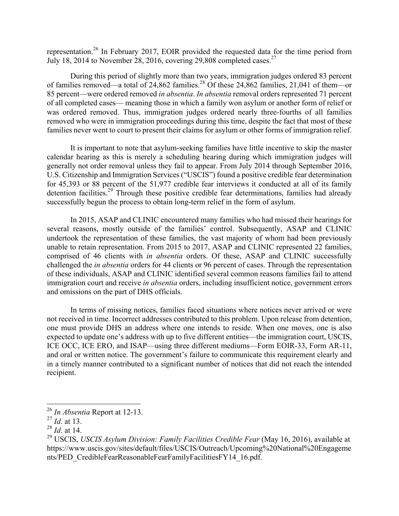representation.<sup>26</sup> In February 2017, EOIR provided the requested data for the time period from July 18, 2014 to November 28, 2016, covering 29,808 completed cases.<sup>27</sup>

During this period of slightly more than two years, immigration judges ordered 83 percent of families removed—a total of  $24,862$  families.<sup>28</sup> Of these  $24,862$  families, 21,041 of them—or 85 percent—were ordered removed *in absentia*. *In absentia* removal orders represented 71 percent of all completed cases— meaning those in which a family won asylum or another form of relief or was ordered removed. Thus, immigration judges ordered nearly three-fourths of all families removed who were in immigration proceedings during this time, despite the fact that most of these families never went to court to present their claims for asylum or other forms of immigration relief.

It is important to note that asylum-seeking families have little incentive to skip the master calendar hearing as this is merely a scheduling hearing during which immigration judges will generally not order removal unless they fail to appear. From July 2014 through September 2016, U.S. Citizenship and Immigration Services ("USCIS") found a positive credible fear determination for 45,393 or 88 percent of the 51,977 credible fear interviews it conducted at all of its family detention facilities.<sup>29</sup> Through these positive credible fear determinations, families had already successfully begun the process to obtain long-term relief in the form of asylum.

In 2015, ASAP and CLINIC encountered many families who had missed their hearings for several reasons, mostly outside of the families' control. Subsequently, ASAP and CLINIC undertook the representation of these families, the vast majority of whom had been previously unable to retain representation. From 2015 to 2017, ASAP and CLINIC represented 22 families, comprised of 46 clients with *in absentia* orders. Of these, ASAP and CLINIC successfully challenged the *in absentia* orders for 44 clients or 96 percent of cases. Through the representation of these individuals, ASAP and CLINIC identified several common reasons families fail to attend immigration court and receive *in absentia* orders, including insufficient notice, government errors and omissions on the part of DHS officials.

In terms of missing notices, families faced situations where notices never arrived or were not received in time. Incorrect addresses contributed to this problem. Upon release from detention, one must provide DHS an address where one intends to reside. When one moves, one is also expected to update one's address with up to five different entities—the immigration court, USCIS, ICE OCC, ICE ERO, and ISAP—using three different mediums—Form EOIR-33, Form AR-11, and oral or written notice. The government's failure to communicate this requirement clearly and in a timely manner contributed to a significant number of notices that did not reach the intended recipient.

 <sup>26</sup> *In Absentia* Report at 12-13.

<sup>27</sup> *Id*. at 13.

<sup>28</sup> *Id*. at 14.

<sup>29</sup> USCIS, *USCIS Asylum Division: Family Facilities Credible Fear* (May 16, 2016), available at https://www.uscis.gov/sites/default/files/USCIS/Outreach/Upcoming%20National%20Engageme nts/PED\_CredibleFearReasonableFearFamilyFacilitiesFY14\_16.pdf.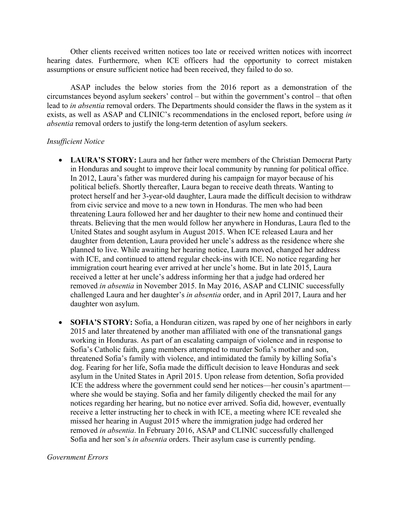Other clients received written notices too late or received written notices with incorrect hearing dates. Furthermore, when ICE officers had the opportunity to correct mistaken assumptions or ensure sufficient notice had been received, they failed to do so.

ASAP includes the below stories from the 2016 report as a demonstration of the circumstances beyond asylum seekers' control – but within the government's control – that often lead to *in absentia* removal orders. The Departments should consider the flaws in the system as it exists, as well as ASAP and CLINIC's recommendations in the enclosed report, before using *in absentia* removal orders to justify the long-term detention of asylum seekers.

### *Insufficient Notice*

- **LAURA'S STORY:** Laura and her father were members of the Christian Democrat Party in Honduras and sought to improve their local community by running for political office. In 2012, Laura's father was murdered during his campaign for mayor because of his political beliefs. Shortly thereafter, Laura began to receive death threats. Wanting to protect herself and her 3-year-old daughter, Laura made the difficult decision to withdraw from civic service and move to a new town in Honduras. The men who had been threatening Laura followed her and her daughter to their new home and continued their threats. Believing that the men would follow her anywhere in Honduras, Laura fled to the United States and sought asylum in August 2015. When ICE released Laura and her daughter from detention, Laura provided her uncle's address as the residence where she planned to live. While awaiting her hearing notice, Laura moved, changed her address with ICE, and continued to attend regular check-ins with ICE. No notice regarding her immigration court hearing ever arrived at her uncle's home. But in late 2015, Laura received a letter at her uncle's address informing her that a judge had ordered her removed *in absentia* in November 2015. In May 2016, ASAP and CLINIC successfully challenged Laura and her daughter's *in absentia* order, and in April 2017, Laura and her daughter won asylum.
- **SOFIA'S STORY:** Sofia, a Honduran citizen, was raped by one of her neighbors in early 2015 and later threatened by another man affiliated with one of the transnational gangs working in Honduras. As part of an escalating campaign of violence and in response to Sofia's Catholic faith, gang members attempted to murder Sofia's mother and son, threatened Sofia's family with violence, and intimidated the family by killing Sofia's dog. Fearing for her life, Sofia made the difficult decision to leave Honduras and seek asylum in the United States in April 2015. Upon release from detention, Sofia provided ICE the address where the government could send her notices—her cousin's apartment where she would be staying. Sofia and her family diligently checked the mail for any notices regarding her hearing, but no notice ever arrived. Sofia did, however, eventually receive a letter instructing her to check in with ICE, a meeting where ICE revealed she missed her hearing in August 2015 where the immigration judge had ordered her removed *in absentia*. In February 2016, ASAP and CLINIC successfully challenged Sofia and her son's *in absentia* orders. Their asylum case is currently pending.

#### *Government Errors*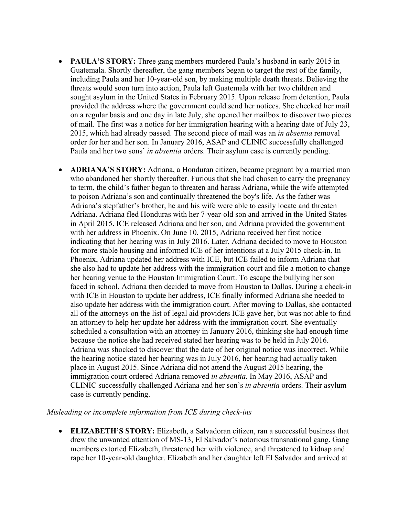- **PAULA'S STORY:** Three gang members murdered Paula's husband in early 2015 in Guatemala. Shortly thereafter, the gang members began to target the rest of the family, including Paula and her 10-year-old son, by making multiple death threats. Believing the threats would soon turn into action, Paula left Guatemala with her two children and sought asylum in the United States in February 2015. Upon release from detention, Paula provided the address where the government could send her notices. She checked her mail on a regular basis and one day in late July, she opened her mailbox to discover two pieces of mail. The first was a notice for her immigration hearing with a hearing date of July 23, 2015, which had already passed. The second piece of mail was an *in absentia* removal order for her and her son. In January 2016, ASAP and CLINIC successfully challenged Paula and her two sons' *in absentia* orders. Their asylum case is currently pending.
- **ADRIANA'S STORY:** Adriana, a Honduran citizen, became pregnant by a married man who abandoned her shortly thereafter. Furious that she had chosen to carry the pregnancy to term, the child's father began to threaten and harass Adriana, while the wife attempted to poison Adriana's son and continually threatened the boy's life. As the father was Adriana's stepfather's brother, he and his wife were able to easily locate and threaten Adriana. Adriana fled Honduras with her 7-year-old son and arrived in the United States in April 2015. ICE released Adriana and her son, and Adriana provided the government with her address in Phoenix. On June 10, 2015, Adriana received her first notice indicating that her hearing was in July 2016. Later, Adriana decided to move to Houston for more stable housing and informed ICE of her intentions at a July 2015 check-in. In Phoenix, Adriana updated her address with ICE, but ICE failed to inform Adriana that she also had to update her address with the immigration court and file a motion to change her hearing venue to the Houston Immigration Court. To escape the bullying her son faced in school, Adriana then decided to move from Houston to Dallas. During a check-in with ICE in Houston to update her address, ICE finally informed Adriana she needed to also update her address with the immigration court. After moving to Dallas, she contacted all of the attorneys on the list of legal aid providers ICE gave her, but was not able to find an attorney to help her update her address with the immigration court. She eventually scheduled a consultation with an attorney in January 2016, thinking she had enough time because the notice she had received stated her hearing was to be held in July 2016. Adriana was shocked to discover that the date of her original notice was incorrect. While the hearing notice stated her hearing was in July 2016, her hearing had actually taken place in August 2015. Since Adriana did not attend the August 2015 hearing, the immigration court ordered Adriana removed *in absentia*. In May 2016, ASAP and CLINIC successfully challenged Adriana and her son's *in absentia* orders. Their asylum case is currently pending.

# *Misleading or incomplete information from ICE during check-ins*

• **ELIZABETH'S STORY:** Elizabeth, a Salvadoran citizen, ran a successful business that drew the unwanted attention of MS-13, El Salvador's notorious transnational gang. Gang members extorted Elizabeth, threatened her with violence, and threatened to kidnap and rape her 10-year-old daughter. Elizabeth and her daughter left El Salvador and arrived at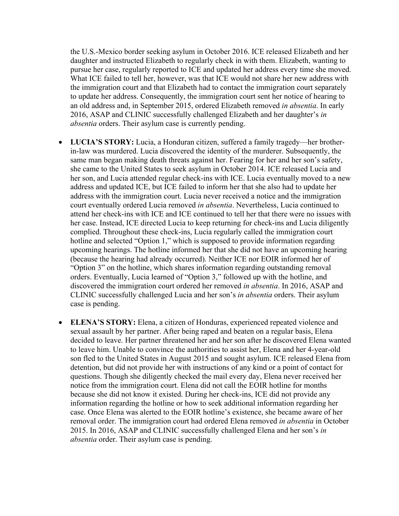the U.S.-Mexico border seeking asylum in October 2016. ICE released Elizabeth and her daughter and instructed Elizabeth to regularly check in with them. Elizabeth, wanting to pursue her case, regularly reported to ICE and updated her address every time she moved. What ICE failed to tell her, however, was that ICE would not share her new address with the immigration court and that Elizabeth had to contact the immigration court separately to update her address. Consequently, the immigration court sent her notice of hearing to an old address and, in September 2015, ordered Elizabeth removed *in absentia*. In early 2016, ASAP and CLINIC successfully challenged Elizabeth and her daughter's *in absentia* orders. Their asylum case is currently pending.

- **LUCIA'S STORY:** Lucia, a Honduran citizen, suffered a family tragedy—her brotherin-law was murdered. Lucia discovered the identity of the murderer. Subsequently, the same man began making death threats against her. Fearing for her and her son's safety, she came to the United States to seek asylum in October 2014. ICE released Lucia and her son, and Lucia attended regular check-ins with ICE. Lucia eventually moved to a new address and updated ICE, but ICE failed to inform her that she also had to update her address with the immigration court. Lucia never received a notice and the immigration court eventually ordered Lucia removed *in absentia*. Nevertheless, Lucia continued to attend her check-ins with ICE and ICE continued to tell her that there were no issues with her case. Instead, ICE directed Lucia to keep returning for check-ins and Lucia diligently complied. Throughout these check-ins, Lucia regularly called the immigration court hotline and selected "Option 1," which is supposed to provide information regarding upcoming hearings. The hotline informed her that she did not have an upcoming hearing (because the hearing had already occurred). Neither ICE nor EOIR informed her of "Option 3" on the hotline, which shares information regarding outstanding removal orders. Eventually, Lucia learned of "Option 3," followed up with the hotline, and discovered the immigration court ordered her removed *in absentia*. In 2016, ASAP and CLINIC successfully challenged Lucia and her son's *in absentia* orders. Their asylum case is pending.
- **ELENA'S STORY:** Elena, a citizen of Honduras, experienced repeated violence and sexual assault by her partner. After being raped and beaten on a regular basis, Elena decided to leave. Her partner threatened her and her son after he discovered Elena wanted to leave him. Unable to convince the authorities to assist her, Elena and her 4-year-old son fled to the United States in August 2015 and sought asylum. ICE released Elena from detention, but did not provide her with instructions of any kind or a point of contact for questions. Though she diligently checked the mail every day, Elena never received her notice from the immigration court. Elena did not call the EOIR hotline for months because she did not know it existed. During her check-ins, ICE did not provide any information regarding the hotline or how to seek additional information regarding her case. Once Elena was alerted to the EOIR hotline's existence, she became aware of her removal order. The immigration court had ordered Elena removed *in absentia* in October 2015. In 2016, ASAP and CLINIC successfully challenged Elena and her son's *in absentia* order. Their asylum case is pending.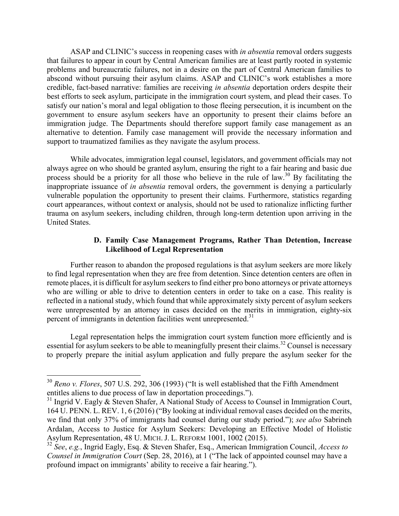ASAP and CLINIC's success in reopening cases with *in absentia* removal orders suggests that failures to appear in court by Central American families are at least partly rooted in systemic problems and bureaucratic failures, not in a desire on the part of Central American families to abscond without pursuing their asylum claims. ASAP and CLINIC's work establishes a more credible, fact-based narrative: families are receiving *in absentia* deportation orders despite their best efforts to seek asylum, participate in the immigration court system, and plead their cases. To satisfy our nation's moral and legal obligation to those fleeing persecution, it is incumbent on the government to ensure asylum seekers have an opportunity to present their claims before an immigration judge. The Departments should therefore support family case management as an alternative to detention. Family case management will provide the necessary information and support to traumatized families as they navigate the asylum process.

While advocates, immigration legal counsel, legislators, and government officials may not always agree on who should be granted asylum, ensuring the right to a fair hearing and basic due process should be a priority for all those who believe in the rule of law.<sup>30</sup> By facilitating the inappropriate issuance of *in absentia* removal orders, the government is denying a particularly vulnerable population the opportunity to present their claims. Furthermore, statistics regarding court appearances, without context or analysis, should not be used to rationalize inflicting further trauma on asylum seekers, including children, through long-term detention upon arriving in the United States.

# **D. Family Case Management Programs, Rather Than Detention, Increase Likelihood of Legal Representation**

Further reason to abandon the proposed regulations is that asylum seekers are more likely to find legal representation when they are free from detention. Since detention centers are often in remote places, it is difficult for asylum seekers to find either pro bono attorneys or private attorneys who are willing or able to drive to detention centers in order to take on a case. This reality is reflected in a national study, which found that while approximately sixty percent of asylum seekers were unrepresented by an attorney in cases decided on the merits in immigration, eighty-six percent of immigrants in detention facilities went unrepresented.<sup>31</sup>

Legal representation helps the immigration court system function more efficiently and is essential for asylum seekers to be able to meaningfully present their claims.<sup>32</sup> Counsel is necessary to properly prepare the initial asylum application and fully prepare the asylum seeker for the

 <sup>30</sup> *Reno v. Flores*, 507 U.S. 292, 306 (1993) ("It is well established that the Fifth Amendment entitles aliens to due process of law in deportation proceedings.").

<sup>&</sup>lt;sup>31</sup> Ingrid V. Eagly & Steven Shafer, A National Study of Access to Counsel in Immigration Court, 164 U. PENN. L. REV. 1, 6 (2016) ("By looking at individual removal cases decided on the merits, we find that only 37% of immigrants had counsel during our study period."); *see also* Sabrineh Ardalan, Access to Justice for Asylum Seekers: Developing an Effective Model of Holistic Asylum Representation, 48 U. MICH. J. L. REFORM 1001, 1002 (2015).

<sup>32</sup> *See*, *e.g.*, Ingrid Eagly, Esq. & Steven Shafer, Esq., American Immigration Council, *Access to Counsel in Immigration Court* (Sep. 28, 2016), at 1 ("The lack of appointed counsel may have a profound impact on immigrants' ability to receive a fair hearing.").